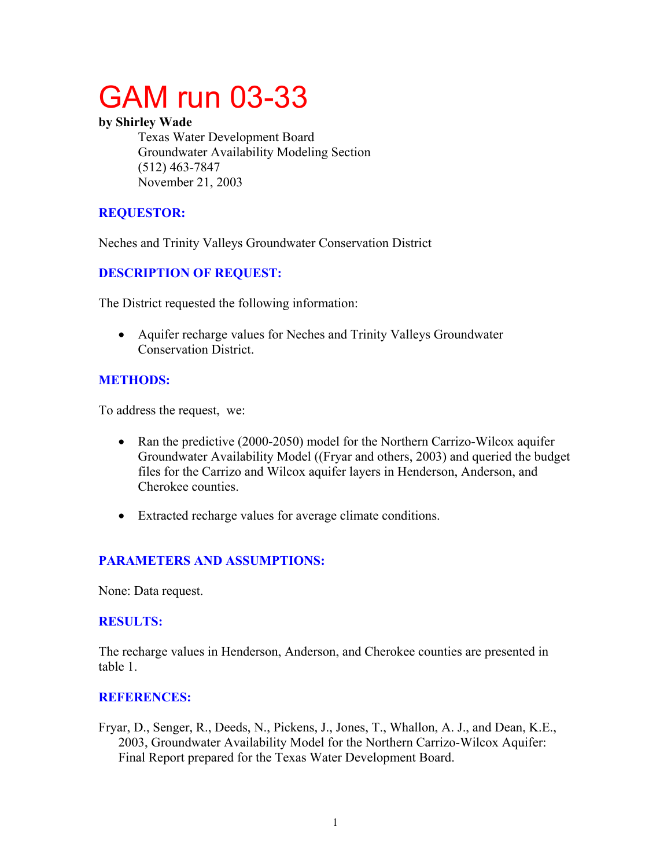# GAM run 03-33

#### **by Shirley Wade**

Texas Water Development Board Groundwater Availability Modeling Section (512) 463-7847 November 21, 2003

### **REQUESTOR:**

Neches and Trinity Valleys Groundwater Conservation District

## **DESCRIPTION OF REQUEST:**

The District requested the following information:

• Aquifer recharge values for Neches and Trinity Valleys Groundwater Conservation District.

## **METHODS:**

To address the request, we:

- Ran the predictive (2000-2050) model for the Northern Carrizo-Wilcox aquifer Groundwater Availability Model ((Fryar and others, 2003) and queried the budget files for the Carrizo and Wilcox aquifer layers in Henderson, Anderson, and Cherokee counties.
- Extracted recharge values for average climate conditions.

# **PARAMETERS AND ASSUMPTIONS:**

None: Data request.

#### **RESULTS:**

The recharge values in Henderson, Anderson, and Cherokee counties are presented in table 1.

#### **REFERENCES:**

Fryar, D., Senger, R., Deeds, N., Pickens, J., Jones, T., Whallon, A. J., and Dean, K.E., 2003, Groundwater Availability Model for the Northern Carrizo-Wilcox Aquifer: Final Report prepared for the Texas Water Development Board.